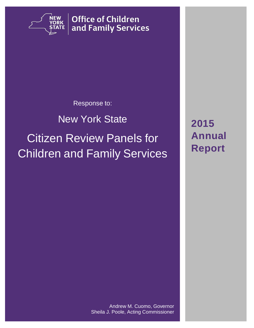

**Office of Children** and Family Services

### Response to:

## New York State

# Citizen Review Panels for Children and Family Services

**2015 Annual Report**

Andrew M. Cuomo, Governor Sheila J. Poole, Acting Commissioner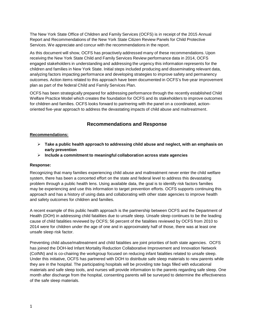The New York State Office of Children and Family Services (OCFS) is in receipt of the 2015 Annual Report and Recommendations of the New York State Citizen Review Panels for Child Protective Services. We appreciate and concur with the recommendations in the report.

As this document will show, OCFS has proactively addressed many of these recommendations. Upon receiving the New York State Child and Family Services Review performance data in 2014, OCFS engaged stakeholders in understanding and addressing the urgency this information represents for the children and families in New York State. Initial steps included producing and disseminating relevant data, analyzing factors impacting performance and developing strategies to improve safety and permanency outcomes. Action items related to this approach have been documented in OCFS's five-year improvement plan as part of the federal Child and Family Services Plan.

OCFS has been strategically prepared for addressing performance through the recently established Child Welfare Practice Model which creates the foundation for OCFS and its stakeholders to improve outcomes for children and families. OCFS looks forward to partnering with the panel on a coordinated, actionoriented five-year approach to address the devastating impacts of child abuse and maltreatment.

#### **Recommendations and Response**

#### **Recommendations:**

- **Take a public health approach to addressing child abuse and neglect, with an emphasis on early prevention**
- **Include a commitment to meaningful collaboration across state agencies**

#### **Response:**

Recognizing that many families experiencing child abuse and maltreatment never enter the child welfare system, there has been a concerted effort on the state and federal level to address this devastating problem through a public health lens. Using available data, the goal is to identify risk factors families may be experiencing and use this information to target prevention efforts. OCFS supports continuing this approach and has a history of using data and collaborating with other state agencies to improve health and safety outcomes for children and families.

A recent example of this public health approach is the partnership between OCFS and the Department of Health (DOH) in addressing child fatalities due to unsafe sleep. Unsafe sleep continues to be the leading cause of child fatalities reviewed by OCFS; 56 percent of the fatalities reviewed by OCFS from 2010 to 2014 were for children under the age of one and in approximately half of those, there was at least one unsafe sleep risk factor.

Preventing child abuse/maltreatment and child fatalities are joint priorities of both state agencies. OCFS has joined the DOH-led Infant Mortality Reduction Collaborative Improvement and Innovation Network (CoINN) and is co-chairing the workgroup focused on reducing infant fatalities related to unsafe sleep. Under this initiative, OCFS has partnered with DOH to distribute safe sleep materials to new parents while they are in the hospital. The participating hospitals will be providing tote bags filled with educational materials and safe sleep tools, and nurses will provide information to the parents regarding safe sleep. One month after discharge from the hospital, consenting parents will be surveyed to determine the effectiveness of the safe sleep materials.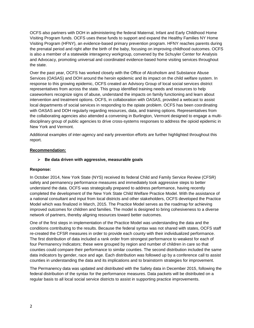OCFS also partners with DOH in administering the federal Maternal, Infant and Early Childhood Home Visiting Program funds. OCFS uses these funds to support and expand the Healthy Families NY Home Visiting Program (HFNY), an evidence-based primary prevention program. HFNY reaches parents during the prenatal period and right after the birth of the baby, focusing on improving childhood outcomes. OCFS is also a member of a statewide interagency workgroup, convened by the Schuyler Center for Analysis and Advocacy, promoting universal and coordinated evidence-based home visiting services throughout the state.

Over the past year, OCFS has worked closely with the Office of Alcoholism and Substance Abuse Services (OASAS) and DOH around the heroin epidemic and its impact on the child welfare system. In response to this growing epidemic, OCFS created an Advisory Group of local social services district representatives from across the state. This group identified training needs and resources to help caseworkers recognize signs of abuse, understand the impacts on family functioning and learn about intervention and treatment options. OCFS, in collaboration with OASAS, provided a webcast to assist local departments of social services in responding to the opiate problem. OCFS has been coordinating with OASAS and DOH regularly regarding resources, data, and training options. Representatives from the collaborating agencies also attended a convening in Burlington, Vermont designed to engage a multidisciplinary group of public agencies to drive cross-systems responses to address the opioid epidemic in New York and Vermont.

Additional examples of inter-agency and early prevention efforts are further highlighted throughout this report.

#### **Recommendation:**

#### **Be data driven with aggressive, measurable goals**

#### **Response:**

In October 2014, New York State (NYS) received its federal Child and Family Service Review (CFSR) safety and permanency performance measures and immediately took aggressive steps to better understand the data. OCFS was strategically prepared to address performance, having recently completed the development of the New York State Child Welfare Practice Model. With the assistance of a national consultant and input from local districts and other stakeholders, OCFS developed the Practice Model which was finalized in March, 2015. The Practice Model serves as the roadmap for achieving improved outcomes for children and families. The model is designed to bring cohesiveness to a diverse network of partners, thereby aligning resources toward better outcomes.

One of the first steps in implementation of the Practice Model was understanding the data and the conditions contributing to the results. Because the federal syntax was not shared with states, OCFS staff re-created the CFSR measures in order to provide each county with their individualized performance. The first distribution of data included a rank order from strongest performance to weakest for each of four Permanency Indicators; these were grouped by region and number of children in care so that counties could compare their performance to similar counties. The second distribution included the same data indicators by gender, race and age. Each distribution was followed up by a conference call to assist counties in understanding the data and its implications and to brainstorm strategies for improvement.

The Permanency data was updated and distributed with the Safety data in December 2015, following the federal distribution of the syntax for the performance measures. Data packets will be distributed on a regular basis to all local social service districts to assist in supporting practice improvements.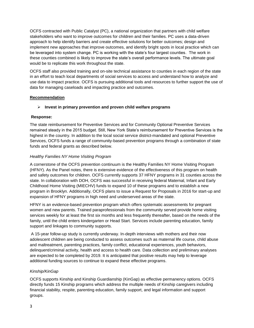OCFS contracted with Public Catalyst (PC), a national organization that partners with child welfare stakeholders who want to improve outcomes for children and their families. PC uses a data-driven approach to help identify barriers and create effective solutions for better outcomes; design and implement new approaches that improve outcomes, and identify bright spots in local practice which can be leveraged into system change. PC is working with the state's four largest counties. The work in these counties combined is likely to improve the state's overall performance levels. The ultimate goal would be to replicate this work throughout the state.

OCFS staff also provided training and on-site technical assistance to counties in each region of the state in an effort to teach local departments of social services to access and understand how to analyze and use data to impact practice. OCFS is pursuing additional tools and resources to further support the use of data for managing caseloads and impacting practice and outcomes.

#### **Recommendation**

#### **Invest in primary prevention and proven child welfare programs**

#### **Response:**

The state reimbursement for Preventive Services and for Community Optional Preventive Services remained steady in the 2015 budget. Still, New York State's reimbursement for Preventive Services is the highest in the country. In addition to the local social service district-mandated and optional Preventive Services, OCFS funds a range of community-based prevention programs through a combination of state funds and federal grants as described below.

#### *Healthy Families NY Home Visiting Program*

A cornerstone of the OCFS prevention continuum is the Healthy Families NY Home Visiting Program (HFNY). As the Panel notes, there is extensive evidence of the effectiveness of this program on health and safety outcomes for children. OCFS currently supports 37 HFNY programs in 31 counties across the state. In collaboration with DOH, OCFS was successful in receiving federal Maternal, Infant and Early Childhood Home Visiting (MIECHV) funds to expand 10 of these programs and to establish a new program in Brooklyn. Additionally, OCFS plans to issue a Request for Proposals in 2016 for start-up and expansion of HFNY programs in high need and underserved areas of the state.

HFNY is an evidence-based prevention program which offers systematic assessments for pregnant women and new parents. Trained paraprofessionals from the community served provide home visiting services weekly for at least the first six months and less frequently thereafter, based on the needs of the family, until the child enters kindergarten or Head Start. Services include parenting education, family support and linkages to community supports.

A 15-year follow-up study is currently underway. In-depth interviews with mothers and their now adolescent children are being conducted to assess outcomes such as maternal life course, child abuse and maltreatment, parenting practices, family conflict, educational experiences, youth behaviors, delinquent/criminal activity, health and access to health care. Data collection and preliminary analyses are expected to be completed by 2019. It is anticipated that positive results may help to leverage additional funding sources to continue to expand these effective programs.

#### *Kinship/KinGap*

OCFS supports Kinship and Kinship Guardianship (KinGap) as effective permanency options. OCFS directly funds 15 Kinship programs which address the multiple needs of Kinship caregivers including financial stability, respite, parenting education, family support, and legal information and support groups.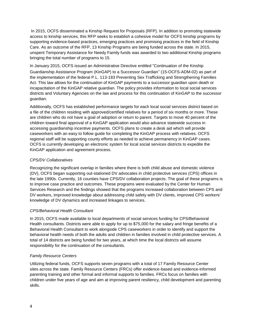In 2015, OCFS disseminated a Kinship Request for Proposals (RFP). In addition to promoting statewide access to kinship services, this RFP seeks to establish a cohesive model for OCFS kinship programs by supporting evidence-based practices, emerging practices and promising practices in the field of Kinship Care. As an outcome of the RFP, 13 Kinship Programs are being funded across the state. In 2015, unspent Temporary Assistance for Needy Family funds was awarded to two additional Kinship programs bringing the total number of programs to 15.

In January 2015, OCFS issued an Administrative Directive entitled "Continuation of the Kinship Guardianship Assistance Program (KinGAP) to a Successor Guardian" (15-OCFS-ADM-02) as part of the implementation of the federal P.L. 113-183 Preventing Sex Trafficking and Strengthening Families Act. This law allows for the continuation of KinGAP payments to a successor guardian upon death or incapacitation of the KinGAP relative guardian. The policy provides information to local social services districts and Voluntary Agencies on the law and process for this continuation of KinGAP to the successor guardian.

Additionally, OCFS has established performance targets for each local social services district based on a file of the children residing with approved/certified relatives for a period of six months or more. These are children who do not have a goal of adoption or return to parent. Targets to move 40 percent of the children toward final approval of a KinGAP application would also advance statewide success in accessing guardianship incentive payments. OCFS plans to create a desk aid which will provide caseworkers with an easy to follow guide for completing the KinGAP process with relatives. OCFS regional staff will be supporting county efforts as needed to achieve permanency in KinGAP cases. OCFS is currently developing an electronic system for local social services districts to expedite the KinGAP application and agreement process.

#### *CPS/DV Collaboratives*

Recognizing the significant overlap in families where there is both child abuse and domestic violence (DV), OCFS began supporting out-stationed DV advocates in child protective services (CPS) offices in the late 1990s. Currently, 16 counties have CPS/DV collaboration projects. The goal of these programs is to improve case practice and outcomes. These programs were evaluated by the Center for Human Services Research and the findings showed that the programs increased collaboration between CPS and DV workers, improved knowledge about addressing child safety with DV clients, improved CPS workers' knowledge of DV dynamics and increased linkages to services.

#### *CPS/Behavioral Health Consultant*

In 2015, OCFS made available to local departments of social services funding for CPS/Behavioral Health consultants. Districts were able to apply for up to \$75,000 for the salary and fringe benefits of a Behavioral Health Consultant to work alongside CPS caseworkers in order to identify and support the behavioral health needs of both the adults and children in families involved in child protective services. A total of 14 districts are being funded for two years, at which time the local districts will assume responsibility for the continuation of the consultants.

#### *Family Resource Centers*

Utilizing federal funds, OCFS supports seven programs with a total of 17 Family Resource Center sites across the state. Family Resource Centers (FRCs) offer evidence-based and evidence-informed parenting training and other formal and informal supports to families. FRCs focus on families with children under five years of age and aim at improving parent resiliency, child development and parenting skills.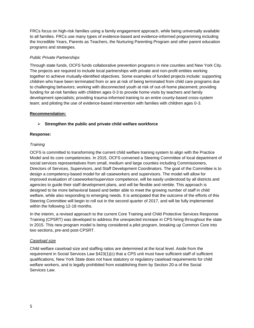FRCs focus on high-risk families using a family engagement approach, while being universally available to all families. FRCs use many types of evidence-based and evidence-informed programming including the Incredible Years, Parents as Teachers, the Nurturing Parenting Program and other parent education programs and strategies.

#### *Public Private Partnerships*

Through state funds, OCFS funds collaborative prevention programs in nine counties and New York City. The projects are required to include local partnerships with private and non-profit entities working together to achieve mutually-identified objectives. Some examples of funded projects include: supporting children who have been terminated from or are at risk of being terminated from child care programs due to challenging behaviors; working with disconnected youth at risk of out-of-home placement; providing funding for at-risk families with children ages 0-3 to provide home visits by teachers and family development specialists; providing trauma-informed training to an entire county-based cross-system team; and piloting the use of evidence-based intervention with families with children ages 0-3.

#### **Recommendation:**

#### **Strengthen the public and private child welfare workforce**

#### **Response:**

#### *Training*

OCFS is committed to transforming the current child welfare training system to align with the Practice Model and its core competencies. In 2015, OCFS convened a Steering Committee of local department of social services representatives from small, medium and large counties including Commissioners, Directors of Services, Supervisors, and Staff Development Coordinators. The goal of the Committee is to design a competency-based model for all caseworkers and supervisors. The model will allow for improved evaluation of caseworker/supervisor competence, will be easily understood by all districts and agencies to guide their staff development plans, and will be flexible and nimble. This approach is designed to be more behavioral based and better able to meet the growing number of staff in child welfare, while also responding to emerging needs. It is anticipated that the outcome of the efforts of this Steering Committee will begin to roll out in the second quarter of 2017, and will be fully implemented within the following 12-18 months.

In the interim, a revised approach to the current Core Training and Child Protective Services Response Training (CPSRT) was developed to address the unexpected increase in CPS hiring throughout the state in 2015. This new program model is being considered a pilot program, breaking up Common Core into two sections, pre-and post-CPSRT.

#### *Caseload size*

Child welfare caseload size and staffing ratios are determined at the local level. Aside from the requirement in Social Services Law §423(1)(c) that a CPS unit must have sufficient staff of sufficient qualifications, New York State does not have statutory or regulatory caseload requirements for child welfare workers, and is legally prohibited from establishing them by Section 20-a of the Social Services Law.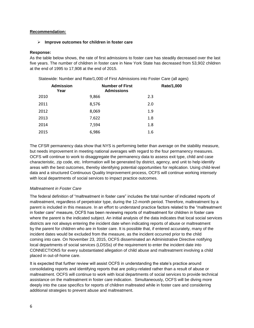#### **Recommendation:**

#### **Improve outcomes for children in foster care**

#### **Response:**

As the table below shows, the rate of first admissions to foster care has steadily decreased over the last five years. The number of children in foster care in New York State has decreased from 53,902 children at the end of 1995 to 17,908 at the end of 2015.

Statewide: Number and Rate/1,000 of First Admissions into Foster Care (all ages)

| <b>Admission</b><br>Year | <b>Number of First</b><br><b>Admissions</b> | Rate/1,000 |
|--------------------------|---------------------------------------------|------------|
| 2010                     | 9,866                                       | 2.3        |
| 2011                     | 8,576                                       | 2.0        |
| 2012                     | 8,069                                       | 1.9        |
| 2013                     | 7,622                                       | 1.8        |
| 2014                     | 7,594                                       | 1.8        |
| 2015                     | 6,986                                       | 1.6        |

The CFSR permanency data show that NYS is performing better than average on the stability measure, but needs improvement in meeting national averages with regard to the four permanency measures. OCFS will continue to work to disaggregate the permanency data to assess exit type, child and case characteristic, zip code, etc. Information will be generated by district, agency, and unit to help identify areas with the best outcomes, thereby identifying potential opportunities for replication. Using child-level data and a structured Continuous Quality Improvement process, OCFS will continue working intensely with local departments of social services to impact practice outcomes.

#### *Maltreatment in Foster Care*

The federal definition of "maltreatment in foster care" includes the total number of indicated reports of maltreatment, regardless of perpetrator type, during the 12-month period. Therefore, maltreatment by a parent is included in this measure. In an effort to understand practice factors related to the "maltreatment in foster care" measure, OCFS has been reviewing reports of maltreatment for children in foster care where the parent is the indicated subject. An initial analysis of the data indicates that local social services districts are not always entering the incident date when indicating reports of abuse or maltreatment by the parent for children who are in foster care. It is possible that, if entered accurately, many of the incident dates would be excluded from the measure, as the incident occurred prior to the child coming into care. On November 23, 2015, OCFS disseminated an Administrative Directive notifying local departments of social services (LDSSs) of the requirement to enter the incident date into CONNECTIONS for every substantiated allegation of child abuse and maltreatment involving a child placed in out-of-home care.

It is expected that further review will assist OCFS in understanding the state's practice around consolidating reports and identifying reports that are policy-related rather than a result of abuse or maltreatment. OCFS will continue to work with local departments of social services to provide technical assistance on the maltreatment in foster care indication. Simultaneously, OCFS will be diving more deeply into the case specifics for reports of children maltreated while in foster care and considering additional strategies to prevent abuse and maltreatment.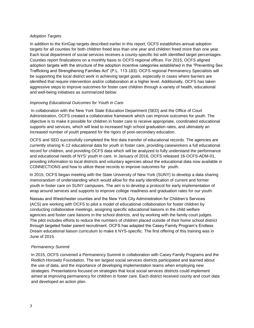#### *Adoption Targets*

In addition to the KinGap targets described earlier in this report, OCFS establishes annual adoption targets for all counties for both children freed less than one year and children freed more than one year. Each local department of social services receives a county-specific list with identified target percentages. Counties report finalizations on a monthly basis to OCFS regional offices. For 2015, OCFS aligned adoption targets with the structure of the adoption incentive categories established in the "Preventing Sex Trafficking and Strengthening Families Act" (P.L. 113-183). OCFS regional Permanency Specialists will be supporting the local district work in achieving target goals, especially in cases where barriers are identified that require intervention and/or collaboration at a higher level. Additionally, OCFS has taken aggressive steps to improve outcomes for foster care children through a variety of health, educational and well-being initiatives as summarized below:

#### *Improving Educational Outcomes for Youth in Care*

In collaboration with the New York State Education Department (SED) and the Office of Court Administration, OCFS created a collaborative framework which can improve outcomes for youth. The objective is to make it possible for children in foster care to receive appropriate, coordinated educational supports and services, which will lead to increased high school graduation rates, and ultimately an increased number of youth prepared for the rigors of post-secondary education.

OCFS and SED successfully completed the first data transfer of educational records. The agencies are currently sharing K-12 educational data for youth in foster care, providing caseworkers a full educational record for children, and providing OCFS data which will be analyzed to fully understand the performance and educational needs of NYS' youth in care. In January of 2016, OCFS released 16-OCFS-ADM-01, providing information to local districts and voluntary agencies about the educational data now available in CONNECTIONS and how to utilize these records to improve outcomes for youth.

In 2015, OCFS began meeting with the State University of New York (SUNY) to develop a data sharing memorandum of understanding which would allow for the early identification of current and former youth in foster care on SUNY campuses. The aim is to develop a protocol for early implementation of wrap around services and supports to improve college readiness and graduation rates for our youth.

Nassau and Westchester counties and the New York City Administration for Children's Services (ACS) are working with OCFS to pilot a model of educational collaboration for foster children by conducting collaborative meetings, assigning specific educational liaisons in the child welfare agencies and foster care liaisons in the school districts, and by working with the family court judges. The pilot includes efforts to reduce the numbers of children placed outside of their home school district through targeted foster parent recruitment. OCFS has adapted the Casey Family Program's Endless Dream educational liaison curriculum to make it NYS-specific. The first offering of this training was in June of 2015.

#### *Permanency Summit*

In 2015, OCFS convened a Permanency Summit in collaboration with Casey Family Programs and the Redlich Horowitz Foundation. The ten largest social services districts participated and learned about the use of data, and the importance of developing implementation teams when employing new strategies. Presentations focused on strategies that local social services districts could implement aimed at improving permanency for children in foster care. Each district received county and court data and developed an action plan.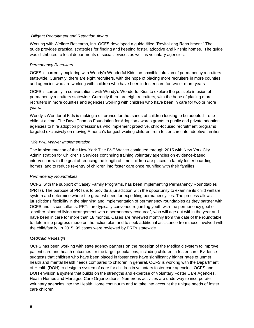#### *Diligent Recruitment and Retention Award*

Working with Welfare Research, Inc. OCFS developed a guide titled "Revitalizing Recruitment." The guide provides practical strategies for finding and keeping foster, adoptive and kinship homes. The guide was distributed to local departments of social services as well as voluntary agencies.

#### *Permanency Recruiters*

OCFS is currently exploring with Wendy's Wonderful Kids the possible infusion of permanency recruiters statewide. Currently, there are eight recruiters, with the hope of placing more recruiters in more counties and agencies who are working with children who have been in foster care for two or more years.

OCFS is currently in conversations with Wendy's Wonderful Kids to explore the possible infusion of permanency recruiters statewide. Currently there are eight recruiters, with the hope of placing more recruiters in more counties and agencies working with children who have been in care for two or more years.

Wendy's Wonderful Kids is making a difference for thousands of children looking to be adopted—one child at a time. The Dave Thomas Foundation for Adoption awards grants to public and private adoption agencies to hire adoption professionals who implement proactive, child-focused recruitment programs targeted exclusively on moving America's longest-waiting children from foster care into adoptive families.

#### *Title IV-E Waiver Implementation*

The implementation of the New York Title IV-E Waiver continued through 2015 with New York City Administration for Children's Services continuing training voluntary agencies on evidence-based intervention with the goal of reducing the length of time children are placed in family foster boarding homes, and to reduce re-entry of children into foster care once reunified with their families.

#### *Permanency Roundtables*

OCFS, with the support of Casey Family Programs, has been implementing Permanency Roundtables (PRTs). The purpose of PRTs is to provide a jurisdiction with the opportunity to examine its child welfare system and determine where the greatest need for expediting permanency lies. The process allows jurisdictions flexibility in the planning and implementation of permanency roundtables as they partner with OCFS and its consultants. PRTs are typically convened regarding youth with the permanency goal of "another planned living arrangement with a permanency resource", who will age out within the year and have been in care for more than 18 months. Cases are reviewed monthly from the date of the roundtable to determine progress made on the action plan and to seek additional assistance from those involved with the child/family. In 2015, 99 cases were reviewed by PRTs statewide.

#### *Medicaid Redesign*

OCFS has been working with state agency partners on the redesign of the Medicaid system to improve patient care and health outcomes for the target populations, including children in foster care. Evidence suggests that children who have been placed in foster care have significantly higher rates of unmet health and mental health needs compared to children in general. OCFS is working with the Department of Health (DOH) to design a system of care for children in voluntary foster care agencies. OCFS and DOH envision a system that builds on the strengths and expertise of Voluntary Foster Care Agencies, Health Homes and Managed Care Organizations. Numerous activities are underway to incorporate voluntary agencies into the Health Home continuum and to take into account the unique needs of foster care children.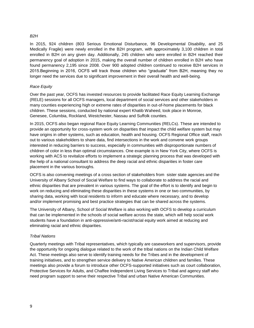#### *B2H*

In 2015, 924 children (803 Serious Emotional Disturbance, 96 Developmental Disability, and 25 Medically Fragile) were newly enrolled in the B2H program, with approximately 3,100 children in total enrolled in B2H on any given day. Additionally, 245 children who were enrolled in B2H reached their permanency goal of adoption in 2015, making the overall number of children enrolled in B2H who have found permanency 2,195 since 2008. Over 900 adopted children continued to receive B2H services in 2015.Beginning in 2016, OCFS will track those children who "graduate" from B2H, meaning they no longer need the services due to significant improvement in their overall health and well-being.

#### *Race Equity*

Over the past year, OCFS has invested resources to provide facilitated Race Equity Learning Exchange (RELE) sessions for all OCFS managers, local department of social services and other stakeholders in many counties experiencing high or extreme rates of disparities in out-of-home placements for black children. These sessions, conducted by national expert Khatib Waheed, took place in Monroe, Genesee, Columbia, Rockland, Westchester, Nassau and Suffolk counties.

In 2015, OCFS also began regional Race Equity Learning Communities (RELCs). These are intended to provide an opportunity for cross-system work on disparities that impact the child welfare system but may have origins in other systems, such as education, health and housing. OCFS Regional Office staff, reach out to various stakeholders to share data, find intersections in the work and convene work groups interested in reducing barriers to success, especially in communities with disproportionate numbers of children of color in less than optimal circumstances. One example is in New York City, where OCFS is working with ACS to revitalize efforts to implement a strategic planning process that was developed with the help of a national consultant to address the deep racial and ethnic disparities in foster care placement in the various boroughs.

OCFS is also convening meetings of a cross section of stakeholders from sister state agencies and the University of Albany School of Social Welfare to find ways to collaborate to address the racial and ethnic disparities that are prevalent in various systems. The goal of the effort is to identify and begin to work on reducing and eliminating these disparities in these systems in one or two communities, by sharing data, working with local residents to inform and educate where necessary, and to develop and/or implement promising and best practice strategies that can be shared across the systems.

The University of Albany, School of Social Welfare is also working with OCFS to develop a curriculum that can be implemented in the schools of social welfare across the state, which will help social work students have a foundation in anti-oppressive/anti-racist/racial equity work aimed at reducing and eliminating racial and ethnic disparities.

#### *Tribal Nations*

Quarterly meetings with Tribal representatives, which typically are caseworkers and supervisors, provide the opportunity for ongoing dialogue related to the work of the tribal nations on the Indian Child Welfare Act. These meetings also serve to identify training needs for the Tribes and in the development of training initiatives, and to strengthen service delivery to Native American children and families. These meetings also provide a forum to introduce other OCFS-supported initiatives such as court collaboration, Protective Services for Adults, and Chaffee Independent Living Services to Tribal and agency staff who need program support to serve their respective Tribal and urban Native American Communities.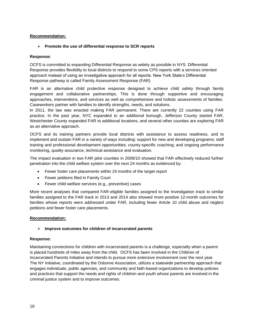#### **Recommendation:**

#### **Promote the use of differential response to SCR reports**

#### **Response:**

OCFS is committed to expanding Differential Response as widely as possible in NYS. Differential Response provides flexibility to local districts to respond to some CPS reports with a services oriented approach instead of using an investigative approach for all reports. New York State's Differential Response pathway is called Family Assessment Response (FAR).

FAR is an alternative child protective response designed to achieve child safety through family engagement and collaborative partnerships. This is done through supportive and encouraging approaches, interventions, and services as well as comprehensive and holistic assessments of families. Caseworkers partner with families to identify strengths, needs, and solutions.

In 2011, the law was enacted making FAR permanent. There are currently 22 counties using FAR practice. In the past year, NYC expanded to an additional borough, Jefferson County started FAR, Westchester County expanded FAR to additional locations, and several other counties are exploring FAR as an alternative approach.

OCFS and its training partners provide local districts with assistance to assess readiness, and to implement and sustain FAR in a variety of ways including: support for new and developing programs; staff training and professional development opportunities; county-specific coaching; and ongoing performance monitoring, quality assurance, technical assistance and evaluation.

The impact evaluation in two FAR pilot counties in 2009/10 showed that FAR effectively reduced further penetration into the child welfare system over the next 24 months as evidenced by:

- Fewer foster care placements within 24 months of the target report
- Fewer petitions filed in Family Court
- Fewer child welfare services (e.g., preventive) cases

More recent analyses that compared FAR-eligible families assigned to the Investigation track to similar families assigned to the FAR track in 2013 and 2014 also showed more positive 12-month outcomes for families whose reports were addressed under FAR, including fewer Article 10 child abuse and neglect petitions and fewer foster care placements.

#### **Recommendation:**

#### **Improve outcomes for children of incarcerated parents**

#### **Response:**

Maintaining connections for children with incarcerated parents is a challenge, especially when a parent is placed hundreds of miles away from the child. OCFS has been involved in the Children of Incarcerated Parents Initiative and intends to pursue more extensive involvement over the next year. The NY Initiative, coordinated by the Osborne Association, utilizes a statewide partnership approach that engages individuals, public agencies, and community and faith-based organizations to develop policies and practices that support the needs and rights of children and youth whose parents are involved in the criminal justice system and to improve outcomes.